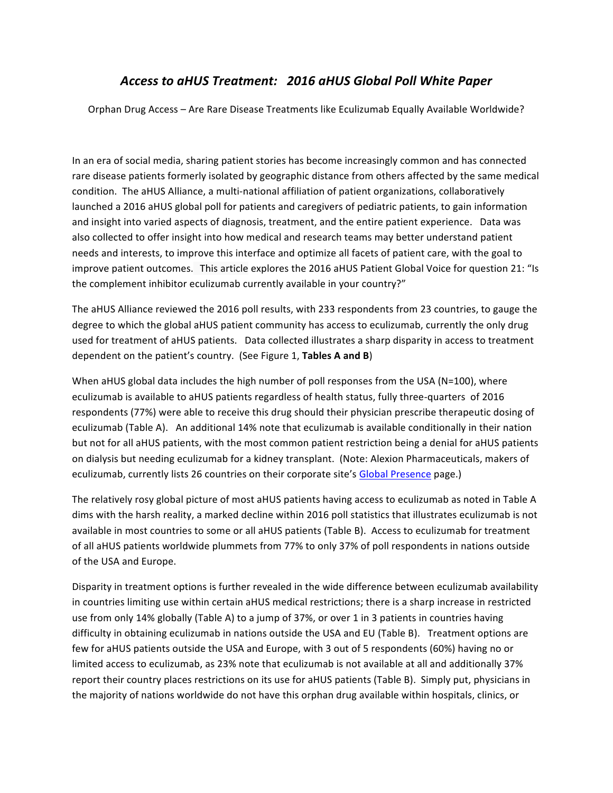# *Access to aHUS Treatment: 2016 aHUS Global Poll White Paper*

Orphan Drug Access - Are Rare Disease Treatments like Eculizumab Equally Available Worldwide?

In an era of social media, sharing patient stories has become increasingly common and has connected rare disease patients formerly isolated by geographic distance from others affected by the same medical condition. The aHUS Alliance, a multi-national affiliation of patient organizations, collaboratively launched a 2016 aHUS global poll for patients and caregivers of pediatric patients, to gain information and insight into varied aspects of diagnosis, treatment, and the entire patient experience. Data was also collected to offer insight into how medical and research teams may better understand patient needs and interests, to improve this interface and optimize all facets of patient care, with the goal to improve patient outcomes. This article explores the 2016 aHUS Patient Global Voice for question 21: "Is the complement inhibitor eculizumab currently available in your country?"

The aHUS Alliance reviewed the 2016 poll results, with 233 respondents from 23 countries, to gauge the degree to which the global aHUS patient community has access to eculizumab, currently the only drug used for treatment of aHUS patients. Data collected illustrates a sharp disparity in access to treatment dependent on the patient's country. (See Figure 1, Tables A and B)

When aHUS global data includes the high number of poll responses from the USA (N=100), where eculizumab is available to aHUS patients regardless of health status, fully three-quarters of 2016 respondents (77%) were able to receive this drug should their physician prescribe therapeutic dosing of eculizumab (Table A). An additional 14% note that eculizumab is available conditionally in their nation but not for all aHUS patients, with the most common patient restriction being a denial for aHUS patients on dialysis but needing eculizumab for a kidney transplant. (Note: Alexion Pharmaceuticals, makers of eculizumab, currently lists 26 countries on their corporate site's Global Presence page.)

The relatively rosy global picture of most aHUS patients having access to eculizumab as noted in Table A dims with the harsh reality, a marked decline within 2016 poll statistics that illustrates eculizumab is not available in most countries to some or all aHUS patients (Table B). Access to eculizumab for treatment of all aHUS patients worldwide plummets from 77% to only 37% of poll respondents in nations outside of the USA and Europe.

Disparity in treatment options is further revealed in the wide difference between eculizumab availability in countries limiting use within certain aHUS medical restrictions; there is a sharp increase in restricted use from only 14% globally (Table A) to a jump of 37%, or over 1 in 3 patients in countries having difficulty in obtaining eculizumab in nations outside the USA and EU (Table B). Treatment options are few for aHUS patients outside the USA and Europe, with 3 out of 5 respondents (60%) having no or limited access to eculizumab, as 23% note that eculizumab is not available at all and additionally 37% report their country places restrictions on its use for aHUS patients (Table B). Simply put, physicians in the majority of nations worldwide do not have this orphan drug available within hospitals, clinics, or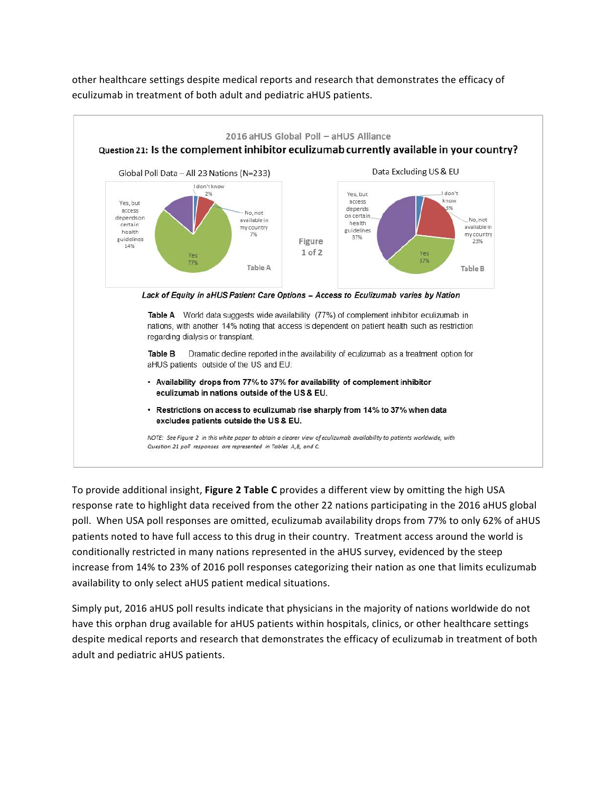other healthcare settings despite medical reports and research that demonstrates the efficacy of eculizumab in treatment of both adult and pediatric aHUS patients.



To provide additional insight, **Figure 2 Table C** provides a different view by omitting the high USA response rate to highlight data received from the other 22 nations participating in the 2016 aHUS global poll. When USA poll responses are omitted, eculizumab availability drops from 77% to only 62% of aHUS patients noted to have full access to this drug in their country. Treatment access around the world is conditionally restricted in many nations represented in the aHUS survey, evidenced by the steep increase from 14% to 23% of 2016 poll responses categorizing their nation as one that limits eculizumab availability to only select aHUS patient medical situations.

Simply put, 2016 aHUS poll results indicate that physicians in the majority of nations worldwide do not have this orphan drug available for aHUS patients within hospitals, clinics, or other healthcare settings despite medical reports and research that demonstrates the efficacy of eculizumab in treatment of both adult and pediatric aHUS patients.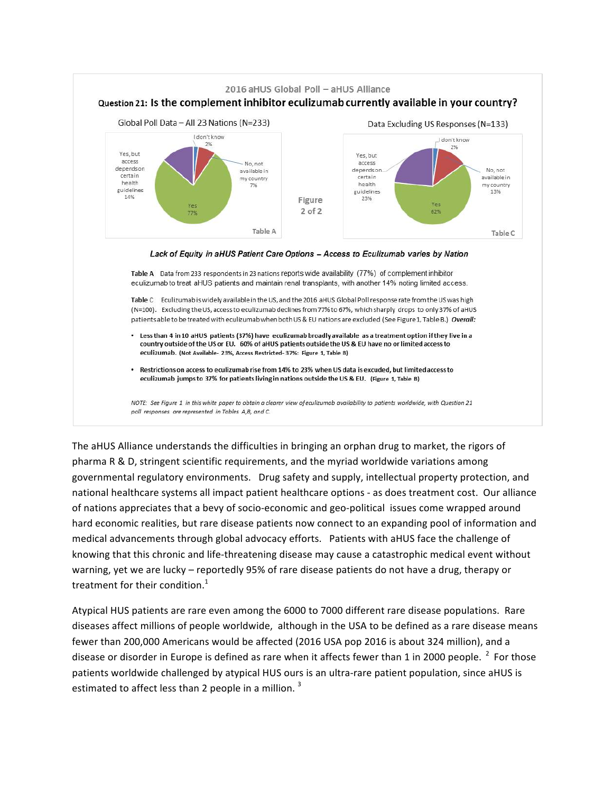

The aHUS Alliance understands the difficulties in bringing an orphan drug to market, the rigors of pharma R & D, stringent scientific requirements, and the myriad worldwide variations among governmental regulatory environments. Drug safety and supply, intellectual property protection, and national healthcare systems all impact patient healthcare options - as does treatment cost. Our alliance of nations appreciates that a bevy of socio-economic and geo-political issues come wrapped around hard economic realities, but rare disease patients now connect to an expanding pool of information and medical advancements through global advocacy efforts. Patients with aHUS face the challenge of knowing that this chronic and life-threatening disease may cause a catastrophic medical event without warning, yet we are lucky – reportedly 95% of rare disease patients do not have a drug, therapy or treatment for their condition. $<sup>1</sup>$ </sup>

Atypical HUS patients are rare even among the 6000 to 7000 different rare disease populations. Rare diseases affect millions of people worldwide, although in the USA to be defined as a rare disease means fewer than 200,000 Americans would be affected (2016 USA pop 2016 is about 324 million), and a disease or disorder in Europe is defined as rare when it affects fewer than 1 in 2000 people.  $^2$  For those patients worldwide challenged by atypical HUS ours is an ultra-rare patient population, since aHUS is estimated to affect less than 2 people in a million.<sup>3</sup>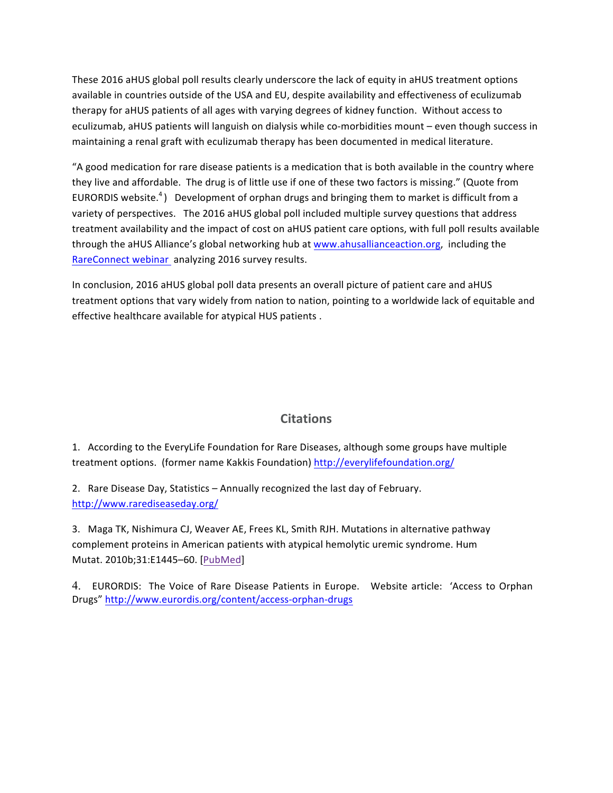These 2016 aHUS global poll results clearly underscore the lack of equity in aHUS treatment options available in countries outside of the USA and EU, despite availability and effectiveness of eculizumab therapy for aHUS patients of all ages with varying degrees of kidney function. Without access to eculizumab, aHUS patients will languish on dialysis while co-morbidities mount - even though success in maintaining a renal graft with eculizumab therapy has been documented in medical literature.

"A good medication for rare disease patients is a medication that is both available in the country where they live and affordable. The drug is of little use if one of these two factors is missing." (Quote from EURORDIS website.<sup>4</sup>) Development of orphan drugs and bringing them to market is difficult from a variety of perspectives. The 2016 aHUS global poll included multiple survey questions that address treatment availability and the impact of cost on aHUS patient care options, with full poll results available through the aHUS Alliance's global networking hub at www.ahusallianceaction.org, including the RareConnect webinar analyzing 2016 survey results.

In conclusion, 2016 aHUS global poll data presents an overall picture of patient care and aHUS treatment options that vary widely from nation to nation, pointing to a worldwide lack of equitable and effective healthcare available for atypical HUS patients.

# **Citations**

1. According to the EveryLife Foundation for Rare Diseases, although some groups have multiple treatment options. (former name Kakkis Foundation) http://everylifefoundation.org/

2. Rare Disease Day, Statistics – Annually recognized the last day of February. http://www.rarediseaseday.org/

3. Maga TK, Nishimura CJ, Weaver AE, Frees KL, Smith RJH. Mutations in alternative pathway complement proteins in American patients with atypical hemolytic uremic syndrome. Hum Mutat. 2010b;31:E1445-60. [PubMed]

4. EURORDIS: The Voice of Rare Disease Patients in Europe. Website article: 'Access to Orphan Drugs" http://www.eurordis.org/content/access-orphan-drugs